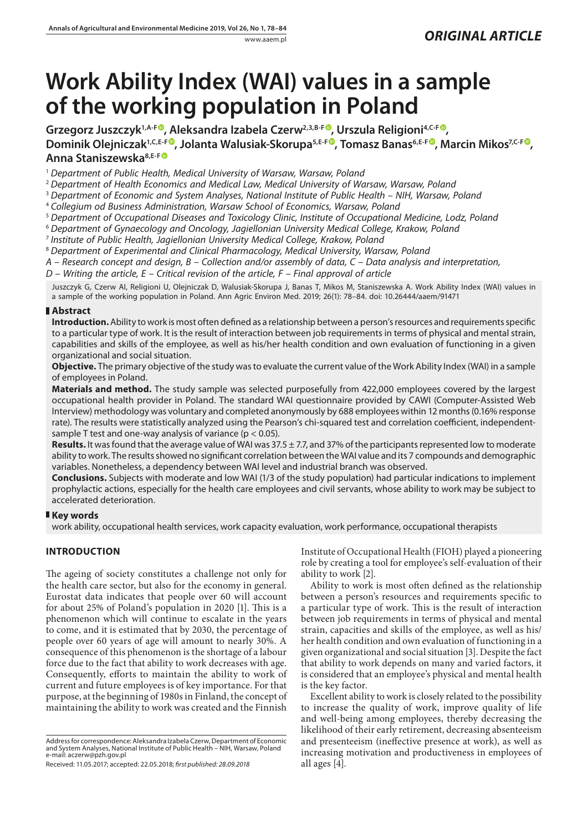# **Work Ability Index (WAI) values in a sample of the working population in Poland**

Grzegorz Juszczyk<sup>1[,](https://orcid.org/0000-0002-6189-6678)A-[F](https://orcid.org/0000-0002-1434-2138)®</sup>, Aleksandra Izabela Czerw<sup>2,3,B-F®</sup>, Urszula Religioni<sup>4,C-F®</sup>, **Dominik Olejniczak<sup>1[,](https://orcid.org/0000-0002-7933-266X)C,E-[F](https://orcid.org/0000-0003-0836-6800)®</sup>, Jolanta Walusiak-Skorupa<sup>5,E-F®</sup>, Tomasz Banas<sup>6,E-F®</sup>, Marcin Mikos<sup>7,C-F®</sup>, Anna Staniszewska8,E-F**

<sup>1</sup> *Department of Public Health, Medical University of Warsaw, Warsaw, Poland*

<sup>2</sup> *Department of Health Economics and Medical Law, Medical University of Warsaw, Warsaw, Poland*

<sup>3</sup> *Department of Economic and System Analyses, National Institute of Public Health – NIH, Warsaw, Poland*

<sup>4</sup> *Collegium od Business Administration, Warsaw School of Economics, Warsaw, Poland*

<sup>5</sup> *Department of Occupational Diseases and Toxicology Clinic, Institute of Occupational Medicine, Lodz, Poland*

<sup>6</sup> *Department of Gynaecology and Oncology, Jagiellonian University Medical College, Krakow, Poland*

<sup>7</sup> *Institute of Public Health, Jagiellonian University Medical College, Krakow, Poland*

<sup>8</sup> *Department of Experimental and Clinical Pharmacology, Medical University, Warsaw, Poland*

*A – Research concept and design, B – Collection and/or assembly of data, C – Data analysis and interpretation,* 

*D – Writing the article, E – Critical revision of the article, F – Final approval of article*

Juszczyk G, Czerw AI, Religioni U, Olejniczak D, Walusiak-Skorupa J, Banas T, Mikos M, Staniszewska A. Work Ability Index (WAI) values in a sample of the working population in Poland. Ann Agric Environ Med. 2019; 26(1): 78–84. doi: 10.26444/aaem/91471

# **Abstract**

**Introduction.** Ability to work is most often defined as a relationship between a person's resources and requirements specific to a particular type of work. It is the result of interaction between job requirements in terms of physical and mental strain, capabilities and skills of the employee, as well as his/her health condition and own evaluation of functioning in a given organizational and social situation.

**Objective.** The primary objective of the study was to evaluate the current value of the Work Ability Index (WAI) in a sample of employees in Poland.

**Materials and method.** The study sample was selected purposefully from 422,000 employees covered by the largest occupational health provider in Poland. The standard WAI questionnaire provided by CAWI (Computer-Assisted Web Interview) methodology was voluntary and completed anonymously by 688 employees within 12 months (0.16% response rate). The results were statistically analyzed using the Pearson's chi-squared test and correlation coefficient, independentsample T test and one-way analysis of variance ( $p < 0.05$ ).

**Results.** It was found that the average value of WAI was 37.5 ± 7.7, and 37% of the participants represented low to moderate ability to work. The results showed no significant correlation between the WAI value and its 7 compounds and demographic variables. Nonetheless, a dependency between WAI level and industrial branch was observed.

**Conclusions.** Subjects with moderate and low WAI (1/3 of the study population) had particular indications to implement prophylactic actions, especially for the health care employees and civil servants, whose ability to work may be subject to accelerated deterioration.

# **Key words**

work ability, occupational health services, work capacity evaluation, work performance, occupational therapists

# **INTRODUCTION**

The ageing of society constitutes a challenge not only for the health care sector, but also for the economy in general. Eurostat data indicates that people over 60 will account for about 25% of Poland's population in 2020 [1]. This is a phenomenon which will continue to escalate in the years to come, and it is estimated that by 2030, the percentage of people over 60 years of age will amount to nearly 30%. A consequence of this phenomenon is the shortage of a labour force due to the fact that ability to work decreases with age. Consequently, efforts to maintain the ability to work of current and future employees is of key importance. For that purpose, at the beginning of 1980s in Finland, the concept of maintaining the ability to work was created and the Finnish

Address for correspondence: Aleksandra Izabela Czerw, Department of Economic and System Analyses, National Institute of Public Health – NIH, Warsaw, Poland e-mail: aczerw@pzh.gov.pl

Received: 11.05.2017; accepted: 22.05.2018; *first published: 28.09.2018*

Institute of Occupational Health (FIOH) played a pioneering role by creating a tool for employee's self-evaluation of their ability to work [2].

Ability to work is most often defined as the relationship between a person's resources and requirements specific to a particular type of work. This is the result of interaction between job requirements in terms of physical and mental strain, capacities and skills of the employee, as well as his/ her health condition and own evaluation of functioning in a given organizational and social situation [3]. Despite the fact that ability to work depends on many and varied factors, it is considered that an employee's physical and mental health is the key factor.

Excellent ability to work is closely related to the possibility to increase the quality of work, improve quality of life and well-being among employees, thereby decreasing the likelihood of their early retirement, decreasing absenteeism and presenteeism (ineffective presence at work), as well as increasing motivation and productiveness in employees of all ages [4].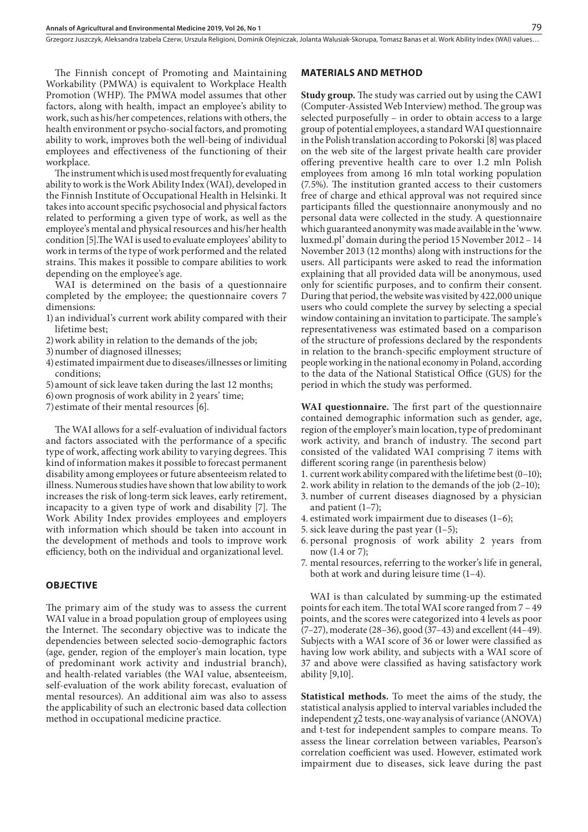Grzegorz Juszczyk, Aleksandra Izabela Czerw, Urszula Religioni, Dominik Olejniczak, Jolanta Walusiak-Skorupa, Tomasz Banas et al. Work Ability Index (WAI) values…

The Finnish concept of Promoting and Maintaining Workability (PMWA) is equivalent to Workplace Health Promotion (WHP). The PMWA model assumes that other factors, along with health, impact an employee's ability to work, such as his/her competences, relations with others, the health environment or psycho-social factors, and promoting ability to work, improves both the well-being of individual employees and effectiveness of the functioning of their workplace.

The instrument which is used most frequently for evaluating ability to work is the Work Ability Index (WAI), developed in the Finnish Institute of Occupational Health in Helsinki. It takes into account specific psychosocial and physical factors related to performing a given type of work, as well as the employee's mental and physical resources and his/her health condition [5].The WAI is used to evaluate employees' ability to work in terms of the type of work performed and the related strains. This makes it possible to compare abilities to work depending on the employee's age.

WAI is determined on the basis of a questionnaire completed by the employee; the questionnaire covers 7 dimensions:

- 1) an individual's current work ability compared with their lifetime best;
- 2)work ability in relation to the demands of the job;
- 3)number of diagnosed illnesses;
- 4) estimated impairment due to diseases/illnesses or limiting conditions;
- 5)amount of sick leave taken during the last 12 months;
- 6)own prognosis of work ability in 2 years' time;
- 7)estimate of their mental resources [6].

The WAI allows for a self-evaluation of individual factors and factors associated with the performance of a specific type of work, affecting work ability to varying degrees. This kind of information makes it possible to forecast permanent disability among employees or future absenteeism related to illness. Numerous studies have shown that low ability to work increases the risk of long-term sick leaves, early retirement, incapacity to a given type of work and disability [7]. The Work Ability Index provides employees and employers with information which should be taken into account in the development of methods and tools to improve work efficiency, both on the individual and organizational level.

## **OBJECTIVE**

The primary aim of the study was to assess the current WAI value in a broad population group of employees using the Internet. The secondary objective was to indicate the dependencies between selected socio-demographic factors (age, gender, region of the employer's main location, type of predominant work activity and industrial branch), and health-related variables (the WAI value, absenteeism, self-evaluation of the work ability forecast, evaluation of mental resources). An additional aim was also to assess the applicability of such an electronic based data collection method in occupational medicine practice.

## **MATERIALS AND METHOD**

**Study group.** The study was carried out by using the CAWI (Computer-Assisted Web Interview) method. The group was selected purposefully – in order to obtain access to a large group of potential employees, a standard WAI questionnaire in the Polish translation according to Pokorski [8] was placed on the web site of the largest private health care provider offering preventive health care to over 1.2 mln Polish employees from among 16 mln total working population (7.5%). The institution granted access to their customers free of charge and ethical approval was not required since participants filled the questionnaire anonymously and no personal data were collected in the study. A questionnaire which guaranteed anonymity was made available in the 'www. luxmed.pl' domain during the period 15 November 2012 – 14 November 2013 (12 months) along with instructions for the users. All participants were asked to read the information explaining that all provided data will be anonymous, used only for scientific purposes, and to confirm their consent. During that period, the website was visited by 422,000 unique users who could complete the survey by selecting a special window containing an invitation to participate. The sample's representativeness was estimated based on a comparison of the structure of professions declared by the respondents in relation to the branch-specific employment structure of people working in the national economy in Poland, according to the data of the National Statistical Office (GUS) for the period in which the study was performed.

**WAI questionnaire.** The first part of the questionnaire contained demographic information such as gender, age, region of the employer's main location, type of predominant work activity, and branch of industry. The second part consisted of the validated WAI comprising 7 items with different scoring range (in parenthesis below)

- 1. current work ability compared with the lifetime best (0–10);
- 2.work ability in relation to the demands of the job (2–10);
- 3. number of current diseases diagnosed by a physician and patient (1–7);
- 4. estimated work impairment due to diseases (1–6);
- 5. sick leave during the past year (1–5);
- 6. personal prognosis of work ability 2 years from now (1.4 or 7);
- 7. mental resources, referring to the worker's life in general, both at work and during leisure time (1–4).

WAI is than calculated by summing-up the estimated points for each item. The total WAI score ranged from 7 – 49 points, and the scores were categorized into 4 levels as poor (7–27), moderate (28–36), good (37–43) and excellent (44–49). Subjects with a WAI score of 36 or lower were classified as having low work ability, and subjects with a WAI score of 37 and above were classified as having satisfactory work ability [9,10].

**Statistical methods.** To meet the aims of the study, the statistical analysis applied to interval variables included the independent  $\chi$ 2 tests, one-way analysis of variance (ANOVA) and t-test for independent samples to compare means. To assess the linear correlation between variables, Pearson's correlation coefficient was used. However, estimated work impairment due to diseases, sick leave during the past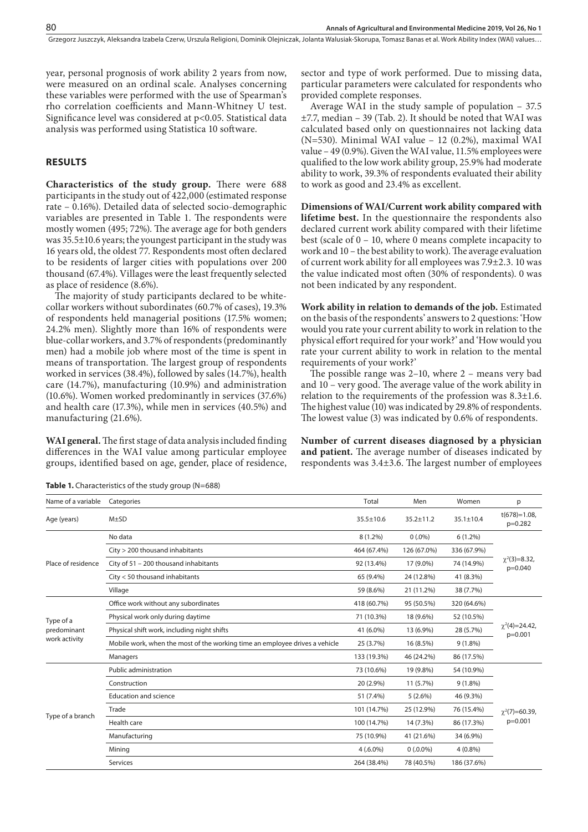Grzegorz Juszczyk, Aleksandra Izabela Czerw, Urszula Religioni, Dominik Olejniczak, Jolanta Walusiak-Skorupa, Tomasz Banas et al. Work Ability Index (WAI) values…

year, personal prognosis of work ability 2 years from now, were measured on an ordinal scale. Analyses concerning these variables were performed with the use of Spearman's rho correlation coefficients and Mann-Whitney U test. Significance level was considered at p<0.05. Statistical data analysis was performed using Statistica 10 software.

# **RESULTS**

**Characteristics of the study group.** There were 688 participants in the study out of 422,000 (estimated response rate – 0.16%). Detailed data of selected socio-demographic variables are presented in Table 1. The respondents were mostly women (495; 72%). The average age for both genders was 35.5±10.6 years; the youngest participant in the study was 16 years old, the oldest 77. Respondents most often declared to be residents of larger cities with populations over 200 thousand (67.4%). Villages were the least frequently selected as place of residence (8.6%).

The majority of study participants declared to be whitecollar workers without subordinates (60.7% of cases), 19.3% of respondents held managerial positions (17.5% women; 24.2% men). Slightly more than 16% of respondents were blue-collar workers, and 3.7% of respondents (predominantly men) had a mobile job where most of the time is spent in means of transportation. The largest group of respondents worked in services (38.4%), followed by sales (14.7%), health care (14.7%), manufacturing (10.9%) and administration (10.6%). Women worked predominantly in services (37.6%) and health care (17.3%), while men in services (40.5%) and manufacturing (21.6%).

**WAI general.** The first stage of data analysis included finding differences in the WAI value among particular employee groups, identified based on age, gender, place of residence, sector and type of work performed. Due to missing data, particular parameters were calculated for respondents who provided complete responses.

Average WAI in the study sample of population – 37.5 ±7.7, median – 39 (Tab. 2). It should be noted that WAI was calculated based only on questionnaires not lacking data (N=530). Minimal WAI value – 12 (0.2%), maximal WAI value – 49 (0.9%). Given the WAI value, 11.5% employees were qualified to the low work ability group, 25.9% had moderate ability to work, 39.3% of respondents evaluated their ability to work as good and 23.4% as excellent.

**Dimensions of WAI/Current work ability compared with lifetime best.** In the questionnaire the respondents also declared current work ability compared with their lifetime best (scale of 0 – 10, where 0 means complete incapacity to work and 10 – the best ability to work). The average evaluation of current work ability for all employees was 7.9±2.3. 10 was the value indicated most often (30% of respondents). 0 was not been indicated by any respondent.

**Work ability in relation to demands of the job.** Estimated on the basis of the respondents' answers to 2 questions: 'How would you rate your current ability to work in relation to the physical effort required for your work?' and 'How would you rate your current ability to work in relation to the mental requirements of your work?'

The possible range was 2–10, where 2 – means very bad and 10 – very good. The average value of the work ability in relation to the requirements of the profession was 8.3±1.6. The highest value (10) was indicated by 29.8% of respondents. The lowest value (3) was indicated by 0.6% of respondents.

**Number of current diseases diagnosed by a physician and patient.** The average number of diseases indicated by respondents was 3.4±3.6. The largest number of employees

| Name of a variable                        | Categories                                                                  | Total           | Men             | Women           | p                                |  |  |
|-------------------------------------------|-----------------------------------------------------------------------------|-----------------|-----------------|-----------------|----------------------------------|--|--|
| Age (years)                               | $M\pm SD$                                                                   | $35.5 \pm 10.6$ | $35.2 \pm 11.2$ | $35.1 \pm 10.4$ | $t(678)=1.08.$<br>$p=0.282$      |  |  |
| Place of residence                        | No data                                                                     | $8(1.2\%)$      | $0(.0\%)$       | $6(1.2\%)$      |                                  |  |  |
|                                           | City > 200 thousand inhabitants                                             | 464 (67.4%)     | 126 (67.0%)     | 336 (67.9%)     | $\chi^2(3)=8.32$ ,<br>$p=0.040$  |  |  |
|                                           | City of 51 - 200 thousand inhabitants                                       | 92 (13.4%)      | 17 (9.0%)       | 74 (14.9%)      |                                  |  |  |
|                                           | City < 50 thousand inhabitants                                              | 65 (9.4%)       | 24 (12.8%)      | 41 (8.3%)       |                                  |  |  |
|                                           | Village                                                                     | 59 (8.6%)       | 21 (11.2%)      | 38 (7.7%)       |                                  |  |  |
| Type of a<br>predominant<br>work activity | Office work without any subordinates                                        | 418 (60.7%)     | 95 (50.5%)      | 320 (64.6%)     | $\chi^2(4)=24.42$ ,<br>$p=0.001$ |  |  |
|                                           | Physical work only during daytime                                           | 71 (10.3%)      | 18 (9.6%)       | 52 (10.5%)      |                                  |  |  |
|                                           | Physical shift work, including night shifts                                 | 41 (6.0%)       | 13 (6.9%)       | 28 (5.7%)       |                                  |  |  |
|                                           | Mobile work, when the most of the working time an employee drives a vehicle | 25 (3.7%)       | 16 (8.5%)       | $9(1.8\%)$      |                                  |  |  |
|                                           | Managers                                                                    | 133 (19.3%)     | 46 (24.2%)      | 86 (17.5%)      |                                  |  |  |
| Type of a branch                          | Public administration                                                       | 73 (10.6%)      | 19 (9.8%)       | 54 (10.9%)      |                                  |  |  |
|                                           | Construction                                                                | 20 (2.9%)       | 11 (5.7%)       | $9(1.8\%)$      |                                  |  |  |
|                                           | <b>Education and science</b>                                                | 51 (7.4%)       | $5(2.6\%)$      | 46 (9.3%)       | $\gamma^2$ (7)=60.39,            |  |  |
|                                           | Trade                                                                       | 101 (14.7%)     | 25 (12.9%)      | 76 (15.4%)      |                                  |  |  |
|                                           | Health care                                                                 | 100 (14.7%)     | 14 (7.3%)       | 86 (17.3%)      | p=0.001                          |  |  |
|                                           | Manufacturing                                                               | 75 (10.9%)      | 41 (21.6%)      | 34 (6.9%)       |                                  |  |  |
|                                           | Mining                                                                      | $4(.6.0\%)$     | $0(.0.0\%)$     | $4(0.8\%)$      |                                  |  |  |
|                                           | Services                                                                    | 264 (38.4%)     | 78 (40.5%)      | 186 (37.6%)     |                                  |  |  |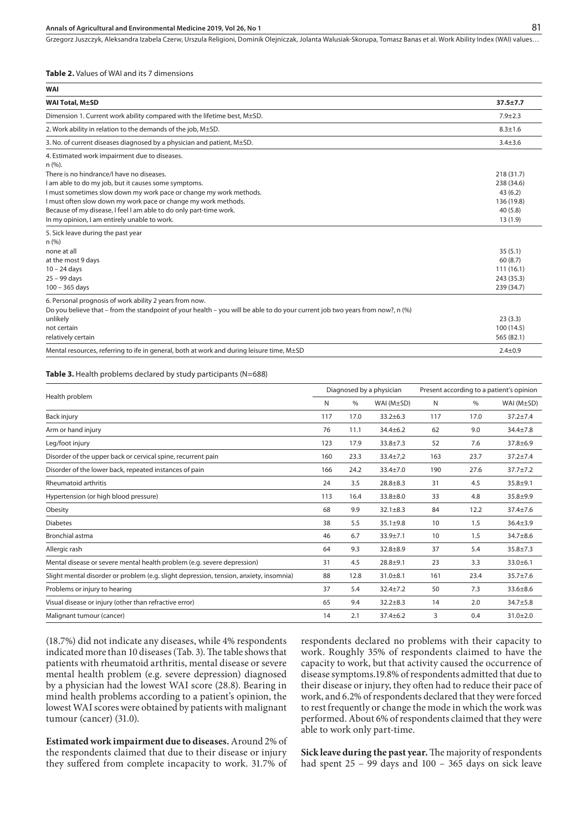#### **Annals of Agricultural and Environmental Medicine 2019, Vol 26, No 1**

Grzegorz Juszczyk, Aleksandra Izabela Czerw, Urszula Religioni, Dominik Olejniczak, Jolanta Walusiak-Skorupa, Tomasz Banas et al. Work Ability Index (WAI) values…

#### **Table 2.** Values of WAI and its 7 dimensions

| <b>WAI</b>                                                                                                                    |                |
|-------------------------------------------------------------------------------------------------------------------------------|----------------|
| <b>WAI Total, M±SD</b>                                                                                                        | $37.5 \pm 7.7$ |
| Dimension 1. Current work ability compared with the lifetime best, M±SD.                                                      | $7.9 + 2.3$    |
| 2. Work ability in relation to the demands of the job, M±SD.                                                                  | $8.3 + 1.6$    |
| 3. No. of current diseases diagnosed by a physician and patient, M±SD.                                                        | $3.4 + 3.6$    |
| 4. Estimated work impairment due to diseases.<br>n (%).                                                                       |                |
| There is no hindrance/I have no diseases.                                                                                     | 218 (31.7)     |
| I am able to do my job, but it causes some symptoms.                                                                          | 238 (34.6)     |
| I must sometimes slow down my work pace or change my work methods.                                                            | 43(6.2)        |
| I must often slow down my work pace or change my work methods.                                                                | 136 (19.8)     |
| Because of my disease, I feel I am able to do only part-time work.                                                            | 40(5.8)        |
| In my opinion, I am entirely unable to work.                                                                                  | 13(1.9)        |
| 5. Sick leave during the past year                                                                                            |                |
| n(%)                                                                                                                          |                |
| none at all                                                                                                                   | 35(5.1)        |
| at the most 9 days                                                                                                            | 60(8.7)        |
| $10 - 24$ days                                                                                                                | 111(16.1)      |
| $25 - 99$ days                                                                                                                | 243 (35.3)     |
| $100 - 365$ days                                                                                                              | 239 (34.7)     |
| 6. Personal prognosis of work ability 2 years from now.                                                                       |                |
| Do you believe that – from the standpoint of your health – you will be able to do your current job two years from now?, n (%) |                |
| unlikely                                                                                                                      | 23(3.3)        |
| not certain                                                                                                                   | 100 (14.5)     |
| relatively certain                                                                                                            | 565 (82.1)     |
| Mental resources, referring to ife in general, both at work and during leisure time, M±SD                                     | $2.4 \pm 0.9$  |

#### **Table 3.** Health problems declared by study participants (N=688)

| Health problem                                                                         |     | Diagnosed by a physician |                |     | Present according to a patient's opinion |                |  |
|----------------------------------------------------------------------------------------|-----|--------------------------|----------------|-----|------------------------------------------|----------------|--|
|                                                                                        |     | %                        | WAI $(M±SD)$   | N   | $\%$                                     | WAI (M±SD)     |  |
| Back injury                                                                            | 117 | 17.0                     | $33.2 \pm 6.3$ | 117 | 17.0                                     | $37.2 \pm 7.4$ |  |
| Arm or hand injury                                                                     | 76  | 11.1                     | $34.4 \pm 6.2$ | 62  | 9.0                                      | $34.4 \pm 7.8$ |  |
| Leg/foot injury                                                                        | 123 | 17.9                     | $33.8 \pm 7.3$ | 52  | 7.6                                      | $37.8 \pm 6.9$ |  |
| Disorder of the upper back or cervical spine, recurrent pain                           | 160 | 23.3                     | $33.4 \pm 7.2$ | 163 | 23.7                                     | $37.2 + 7.4$   |  |
| Disorder of the lower back, repeated instances of pain                                 | 166 | 24.2                     | $33.4 \pm 7.0$ | 190 | 27.6                                     | $37.7 + 7.2$   |  |
| <b>Rheumatoid arthritis</b>                                                            | 24  | 3.5                      | $28.8 + 8.3$   | 31  | 4.5                                      | $35.8 + 9.1$   |  |
| Hypertension (or high blood pressure)                                                  | 113 | 16.4                     | $33.8 + 8.0$   | 33  | 4.8                                      | 35.8±9.9       |  |
| Obesity                                                                                | 68  | 9.9                      | $32.1 \pm 8.3$ | 84  | 12.2                                     | 37.4±7.6       |  |
| <b>Diabetes</b>                                                                        | 38  | 5.5                      | $35.1 \pm 9.8$ | 10  | 1.5                                      | $36.4 \pm 3.9$ |  |
| Bronchial astma                                                                        | 46  | 6.7                      | $33.9 \pm 7.1$ | 10  | 1.5                                      | $34.7 + 8.6$   |  |
| Allergic rash                                                                          | 64  | 9.3                      | $32.8 \pm 8.9$ | 37  | 5.4                                      | $35.8 \pm 7.3$ |  |
| Mental disease or severe mental health problem (e.g. severe depression)                | 31  | 4.5                      | $28.8 + 9.1$   | 23  | 3.3                                      | $33.0 \pm 6.1$ |  |
| Slight mental disorder or problem (e.g. slight depression, tension, anxiety, insomnia) | 88  | 12.8                     | $31.0 + 8.1$   | 161 | 23.4                                     | $35.7 + 7.6$   |  |
| Problems or injury to hearing                                                          | 37  | 5.4                      | $32.4 \pm 7.2$ | 50  | 7.3                                      | $33.6 \pm 8.6$ |  |
| Visual disease or injury (other than refractive error)                                 | 65  | 9.4                      | $32.2 \pm 8.3$ | 14  | 2.0                                      | 34.7±5.8       |  |
| Malignant tumour (cancer)                                                              | 14  | 2.1                      | $37.4 \pm 6.2$ | 3   | 0.4                                      | $31.0 \pm 2.0$ |  |

(18.7%) did not indicate any diseases, while 4% respondents indicated more than 10 diseases (Tab. 3). The table shows that patients with rheumatoid arthritis, mental disease or severe mental health problem (e.g. severe depression) diagnosed by a physician had the lowest WAI score (28.8). Bearing in mind health problems according to a patient's opinion, the lowest WAI scores were obtained by patients with malignant tumour (cancer) (31.0).

**Estimated work impairment due to diseases.** Around 2% of the respondents claimed that due to their disease or injury they suffered from complete incapacity to work. 31.7% of respondents declared no problems with their capacity to work. Roughly 35% of respondents claimed to have the capacity to work, but that activity caused the occurrence of disease symptoms.19.8% of respondents admitted that due to their disease or injury, they often had to reduce their pace of work, and 6.2% of respondents declared that they were forced to rest frequently or change the mode in which the work was performed. About 6% of respondents claimed that they were able to work only part-time.

**Sick leave during the past year.** The majority of respondents had spent 25 – 99 days and 100 – 365 days on sick leave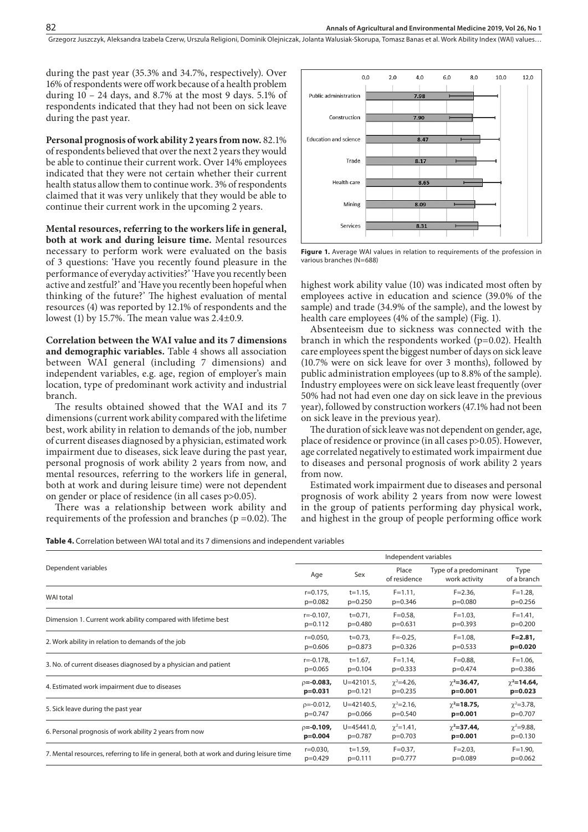Grzegorz Juszczyk, Aleksandra Izabela Czerw, Urszula Religioni, Dominik Olejniczak, Jolanta Walusiak-Skorupa, Tomasz Banas et al. Work Ability Index (WAI) values…

during the past year (35.3% and 34.7%, respectively). Over 16% of respondents were off work because of a health problem during  $10 - 24$  days, and 8.7% at the most 9 days. 5.1% of respondents indicated that they had not been on sick leave during the past year.

**Personal prognosis of work ability 2 years from now.** 82.1% of respondents believed that over the next 2 years they would be able to continue their current work. Over 14% employees indicated that they were not certain whether their current health status allow them to continue work. 3% of respondents claimed that it was very unlikely that they would be able to continue their current work in the upcoming 2 years.

**Mental resources, referring to the workers life in general, both at work and during leisure time.** Mental resources necessary to perform work were evaluated on the basis of 3 questions: 'Have you recently found pleasure in the performance of everyday activities?' 'Have you recently been active and zestful?' and 'Have you recently been hopeful when thinking of the future?' The highest evaluation of mental resources (4) was reported by 12.1% of respondents and the lowest (1) by 15.7%. The mean value was  $2.4\pm0.9$ .

**Correlation between the WAI value and its 7 dimensions and demographic variables.** Table 4 shows all association between WAI general (including 7 dimensions) and independent variables, e.g. age, region of employer's main location, type of predominant work activity and industrial branch.

The results obtained showed that the WAI and its 7 dimensions (current work ability compared with the lifetime best, work ability in relation to demands of the job, number of current diseases diagnosed by a physician, estimated work impairment due to diseases, sick leave during the past year, personal prognosis of work ability 2 years from now, and mental resources, referring to the workers life in general, both at work and during leisure time) were not dependent on gender or place of residence (in all cases p>0.05).

There was a relationship between work ability and requirements of the profession and branches ( $p = 0.02$ ). The



**Figure 1.** Average WAI values in relation to requirements of the profession in various branches (N=688)

highest work ability value (10) was indicated most often by employees active in education and science (39.0% of the sample) and trade (34.9% of the sample), and the lowest by health care employees (4% of the sample) (Fig. 1).

Absenteeism due to sickness was connected with the branch in which the respondents worked  $(p=0.02)$ . Health care employees spent the biggest number of days on sick leave (10.7% were on sick leave for over 3 months), followed by public administration employees (up to 8.8% of the sample). Industry employees were on sick leave least frequently (over 50% had not had even one day on sick leave in the previous year), followed by construction workers (47.1% had not been on sick leave in the previous year).

The duration of sick leave was not dependent on gender, age, place of residence or province (in all cases p>0.05). However, age correlated negatively to estimated work impairment due to diseases and personal prognosis of work ability 2 years from now.

Estimated work impairment due to diseases and personal prognosis of work ability 2 years from now were lowest in the group of patients performing day physical work, and highest in the group of people performing office work

**Table 4.** Correlation between WAI total and its 7 dimensions and independent variables

|                                                                                         |                   | Independent variables |                       |                                        |                     |  |  |
|-----------------------------------------------------------------------------------------|-------------------|-----------------------|-----------------------|----------------------------------------|---------------------|--|--|
| Dependent variables                                                                     | Age               | Sex                   | Place<br>of residence | Type of a predominant<br>work activity | Type<br>of a branch |  |  |
| WAI total                                                                               | $r = 0.175$ ,     | $t = 1.15$ ,          | $F = 1.11$ ,          | $F = 2.36$                             | $F = 1.28$          |  |  |
|                                                                                         | $p=0.082$         | $p=0.250$             | $p=0.346$             | $p=0.080$                              | $p=0.256$           |  |  |
| Dimension 1. Current work ability compared with lifetime best                           | $r = -0.107$ ,    | $t = 0.71$ ,          | $F = 0.58$            | $F = 1.03$ ,                           | $F = 1.41$ ,        |  |  |
|                                                                                         | $p=0.112$         | $p=0.480$             | $p=0.631$             | $p=0.393$                              | $p=0.200$           |  |  |
| 2. Work ability in relation to demands of the job                                       | $r = 0.050$ ,     | $t = 0.73$ ,          | $F = -0.25$ ,         | $F = 1.08$                             | $F = 2.81$          |  |  |
|                                                                                         | $p=0.606$         | $p=0.873$             | $p=0.326$             | $p=0.533$                              | $p=0.020$           |  |  |
| 3. No. of current diseases diagnosed by a physician and patient                         | $r = -0.178$ ,    | $t=1.67$ ,            | $F = 1.14$            | $F = 0.88$                             | $F = 1.06$ ,        |  |  |
|                                                                                         | $p=0.065$         | $p=0.104$             | $p=0.333$             | $p=0.474$                              | p=0.386             |  |  |
| 4. Estimated work impairment due to diseases                                            | $p = -0.083$ ,    | $U = 42101.5$ ,       | $\chi^2 = 4.26$ ,     | $\chi^2$ =36.47,                       | $\chi^2$ =14.64,    |  |  |
|                                                                                         | $p=0.031$         | $p=0.121$             | $p=0.235$             | $p=0.001$                              | $p=0.023$           |  |  |
| 5. Sick leave during the past year                                                      | $p = -0.012$ ,    | $U = 42140.5$ ,       | $\gamma^2 = 2.16$ ,   | $\gamma^2 = 18.75$ ,                   | $\chi^2 = 3.78$ ,   |  |  |
|                                                                                         | p=0.747           | $p=0.066$             | $p=0.540$             | $p=0.001$                              | $p=0.707$           |  |  |
| 6. Personal prognosis of work ability 2 years from now                                  | $\rho = -0.109$ , | $U = 45441.0$ ,       | $\gamma^2 = 1.41$ ,   | $\gamma^2 = 37.44$ ,                   | $\gamma^2 = 9.88$ , |  |  |
|                                                                                         | $p=0.004$         | p=0.787               | $p=0.703$             | $p=0.001$                              | $p=0.130$           |  |  |
| 7. Mental resources, referring to life in general, both at work and during leisure time | $r = 0.030$ ,     | $t = 1.59$ ,          | $F = 0.37$ ,          | $F = 2.03$                             | $F = 1.90$ ,        |  |  |
|                                                                                         | $p=0.429$         | $p=0.111$             | $p=0.777$             | $p=0.089$                              | $p=0.062$           |  |  |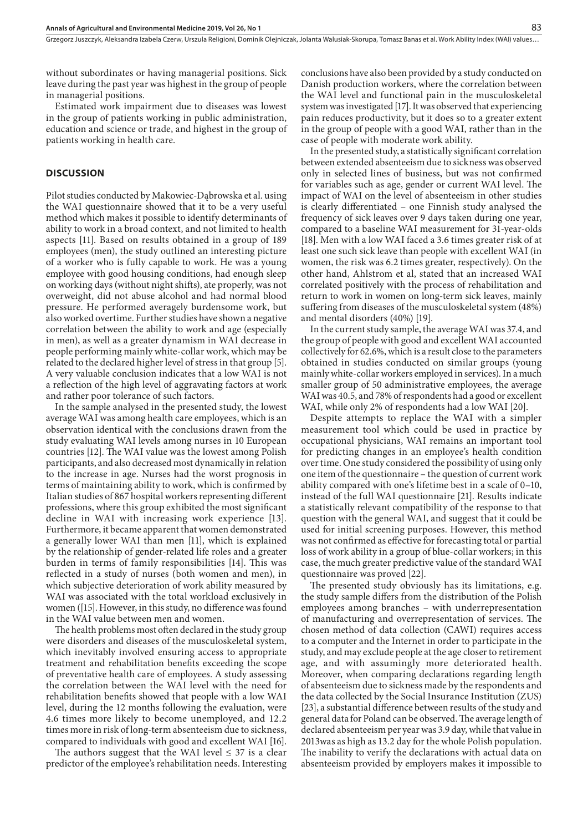without subordinates or having managerial positions. Sick leave during the past year was highest in the group of people in managerial positions.

Estimated work impairment due to diseases was lowest in the group of patients working in public administration, education and science or trade, and highest in the group of patients working in health care.

## **DISCUSSION**

Pilot studies conducted by Makowiec-Dąbrowska et al. using the WAI questionnaire showed that it to be a very useful method which makes it possible to identify determinants of ability to work in a broad context, and not limited to health aspects [11]. Based on results obtained in a group of 189 employees (men), the study outlined an interesting picture of a worker who is fully capable to work. He was a young employee with good housing conditions, had enough sleep on working days (without night shifts), ate properly, was not overweight, did not abuse alcohol and had normal blood pressure. He performed averagely burdensome work, but also worked overtime. Further studies have shown a negative correlation between the ability to work and age (especially in men), as well as a greater dynamism in WAI decrease in people performing mainly white-collar work, which may be related to the declared higher level of stress in that group [5]. A very valuable conclusion indicates that a low WAI is not a reflection of the high level of aggravating factors at work and rather poor tolerance of such factors.

In the sample analysed in the presented study, the lowest average WAI was among health care employees, which is an observation identical with the conclusions drawn from the study evaluating WAI levels among nurses in 10 European countries [12]. The WAI value was the lowest among Polish participants, and also decreased most dynamically in relation to the increase in age. Nurses had the worst prognosis in terms of maintaining ability to work, which is confirmed by Italian studies of 867 hospital workers representing different professions, where this group exhibited the most significant decline in WAI with increasing work experience [13]. Furthermore, it became apparent that women demonstrated a generally lower WAI than men [11], which is explained by the relationship of gender-related life roles and a greater burden in terms of family responsibilities [14]. This was reflected in a study of nurses (both women and men), in which subjective deterioration of work ability measured by WAI was associated with the total workload exclusively in women ([15]. However, in this study, no difference was found in the WAI value between men and women.

The health problems most often declared in the study group were disorders and diseases of the musculoskeletal system, which inevitably involved ensuring access to appropriate treatment and rehabilitation benefits exceeding the scope of preventative health care of employees. A study assessing the correlation between the WAI level with the need for rehabilitation benefits showed that people with a low WAI level, during the 12 months following the evaluation, were 4.6 times more likely to become unemployed, and 12.2 times more in risk of long-term absenteeism due to sickness, compared to individuals with good and excellent WAI [16].

The authors suggest that the WAI level  $\leq$  37 is a clear predictor of the employee's rehabilitation needs. Interesting

conclusions have also been provided by a study conducted on Danish production workers, where the correlation between the WAI level and functional pain in the musculoskeletal system was investigated [17]. It was observed that experiencing pain reduces productivity, but it does so to a greater extent in the group of people with a good WAI, rather than in the case of people with moderate work ability.

In the presented study, a statistically significant correlation between extended absenteeism due to sickness was observed only in selected lines of business, but was not confirmed for variables such as age, gender or current WAI level. The impact of WAI on the level of absenteeism in other studies is clearly differentiated – one Finnish study analysed the frequency of sick leaves over 9 days taken during one year, compared to a baseline WAI measurement for 31-year-olds [18]. Men with a low WAI faced a 3.6 times greater risk of at least one such sick leave than people with excellent WAI (in women, the risk was 6.2 times greater, respectively). On the other hand, Ahlstrom et al, stated that an increased WAI correlated positively with the process of rehabilitation and return to work in women on long-term sick leaves, mainly suffering from diseases of the musculoskeletal system (48%) and mental disorders (40%) [19].

In the current study sample, the average WAI was 37.4, and the group of people with good and excellent WAI accounted collectively for 62.6%, which is a result close to the parameters obtained in studies conducted on similar groups (young mainly white-collar workers employed in services). In a much smaller group of 50 administrative employees, the average WAI was 40.5, and 78% of respondents had a good or excellent WAI, while only 2% of respondents had a low WAI [20].

Despite attempts to replace the WAI with a simpler measurement tool which could be used in practice by occupational physicians, WAI remains an important tool for predicting changes in an employee's health condition over time. One study considered the possibility of using only one item of the questionnaire – the question of current work ability compared with one's lifetime best in a scale of 0–10, instead of the full WAI questionnaire [21]. Results indicate a statistically relevant compatibility of the response to that question with the general WAI, and suggest that it could be used for initial screening purposes. However, this method was not confirmed as effective for forecasting total or partial loss of work ability in a group of blue-collar workers; in this case, the much greater predictive value of the standard WAI questionnaire was proved [22].

The presented study obviously has its limitations, e.g. the study sample differs from the distribution of the Polish employees among branches – with underrepresentation of manufacturing and overrepresentation of services. The chosen method of data collection (CAWI) requires access to a computer and the Internet in order to participate in the study, and may exclude people at the age closer to retirement age, and with assumingly more deteriorated health. Moreover, when comparing declarations regarding length of absenteeism due to sickness made by the respondents and the data collected by the Social Insurance Institution (ZUS) [23], a substantial difference between results of the study and general data for Poland can be observed. The average length of declared absenteeism per year was 3.9 day, while that value in 2013was as high as 13.2 day for the whole Polish population. The inability to verify the declarations with actual data on absenteeism provided by employers makes it impossible to